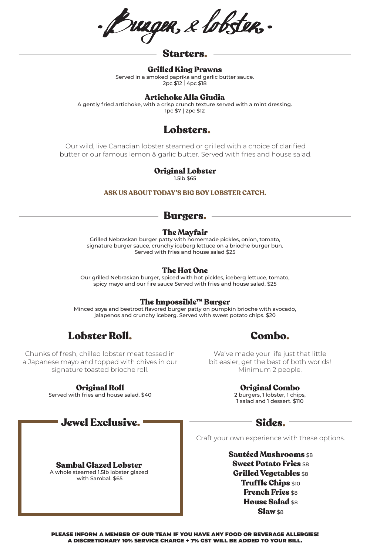Bungen, e lobsten.

## Starters.

#### Grilled King Prawns

Served in a smoked paprika and garlic butter sauce. 2pc \$12 | 4pc \$18

## Artichoke Alla Giudia

A gently fried artichoke, with a crisp crunch texture served with a mint dressing. 1pc \$7 | 2pc \$12

# Lobsters.

Our wild, live Canadian lobster steamed or grilled with a choice of clarified butter or our famous lemon & garlic butter. Served with fries and house salad.

## Original Lobster

1.5lb \$65

### **ASK US ABOUT TODAY'S BIG BOY LOBSTER CATCH.**

# Burgers.

### The Mayfair

Grilled Nebraskan burger patty with homemade pickles, onion, tomato, signature burger sauce, crunchy iceberg lettuce on a brioche burger bun. Served with fries and house salad \$25

### The Hot One

Our grilled Nebraskan burger, spiced with hot pickles, iceberg lettuce, tomato, spicy mayo and our fire sauce Served with fries and house salad. \$25

### The Impossible™ Burger

Minced soya and beetroot flavored burger patty on pumpkin brioche with avocado, jalapenos and crunchy iceberg. Served with sweet potato chips. \$20



Chunks of fresh, chilled lobster meat tossed in a Japanese mayo and topped with chives in our signature toasted brioche roll.

### Original Roll

Served with fries and house salad. \$40

Jewel Exclusive.

Sambal Glazed Lobster A whole steamed 1.5lb lobster glazed with Sambal. \$65

We've made your life just that little bit easier, get the best of both worlds! Minimum 2 people.

Original Combo

2 burgers, 1 lobster, 1 chips, 1 salad and 1 dessert. \$110

# Sides.

Craft your own experience with these options.

Sautéed Mushrooms \$8 **Sweet Potato Fries \$8** Grilled Vegetables \$8 Truffle Chips \$10 **French Fries \$8** House Salad \$8 Slaw \$8

PLEASE INFORM A MEMBER OF OUR TEAM IF YOU HAVE ANY FOOD OR BEVERAGE ALLERGIES! A DISCRETIONARY 10% SERVICE CHARGE + 7% GST WILL BE ADDED TO YOUR BILL.